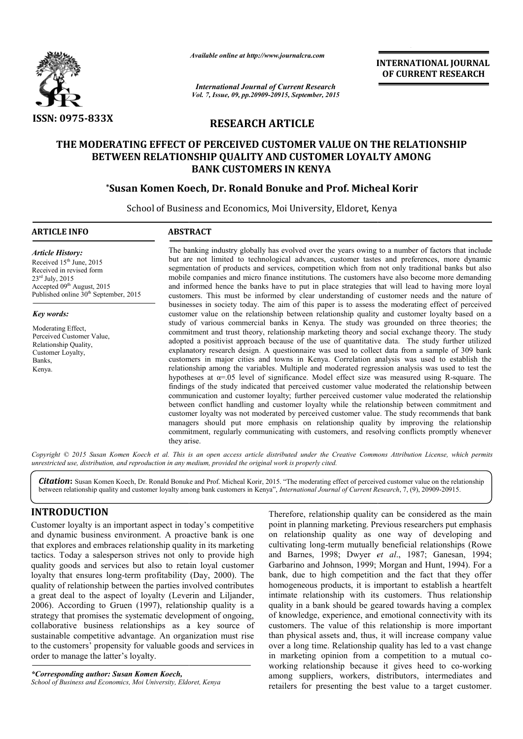

*Available online at http://www.journalcra.com*

**INTERNATIONAL INTERNATIONAL JOURNAL OF CURRENT RESEARCH** 

*International Journal of Current Research Vol. 7, Issue, 09, pp.20909-20915, September, 2015*

# **RESEARCH ARTICLE**

# **THE MODERATING EFFECT OF PERCEIVED CUSTOMER VALUE ON THE RELATIONSHIP**  DDERATING EFFECT OF PERCEIVED CUSTOMER VALUE ON THE RELATIO<br>BETWEEN RELATIONSHIP QUALITY AND CUSTOMER LOYALTY AMONG **BANK CUSTOMERS IN KENYA**

# **\*Susan Komen Koech Susan Koech, Dr. Ronald Bonuke and Prof. Micheal Korir**

School of Business and Economics, Moi University, Eldoret, Kenya 1

#### **ARTICLE INFO ABSTRACT**

*Article History:* Received  $15<sup>th</sup>$  June, 2015 Received in revised form  $23<sup>rd</sup>$  July,  $2015$ Accepted 09<sup>th</sup> August, 2015 Published online 30<sup>th</sup> September, 2015

*Key words:*

Moderating Effect, Perceived Customer Value, Relationship Quality, Customer Loyalty, Banks, Kenya.

The banking industry globally has evolved over the years owing to a number of factors that include but are not limited to technological advances, customer tastes and preferences, more dynamic segmentation of products and services, competition which from not only traditional banks but also The banking industry globally has evolved over the years owing to a number of factors that include but are not limited to technological advances, customer tastes and preferences, more dynamic segmentation of products and s and informed hence the banks have to put in place strategies that will lead to having more loyal customers. This must be informed by clear understanding of customer needs and the nature of businesses in society today. The aim of this paper is to assess the moderating effect of perceived customer value on the relationship between relationship quality and customer loyalty based on a study of various commercial banks in Kenya. The study was grounded on three theories; the commitment and trust theory, relationship marketing theory and social exchange theory. The study adopted a positivist approach because of the use of quantitative data. The study further utilized explanatory research design. A questionnaire was used to collect data from a sample of 309 bank customers in major cities and towns in Kenya. Correlation analysis was used to establish the relationship among the variables. Multiple and moderated regression analysis was used to test the hypotheses at α=.05 level of significance. Model effect size was measured using R findings of the study indicated that perceived customer value moderated the relationship between communication and customer loyalty; further perceived customer value moderated the relationship between conflict handling and customer loyalty while the relationship between commitment and customer loyalty was not moderated by perceived customer value. The study recommends that bank managers should put more emphasis on relationship quality by improving the relationship commitmen commitment, regularly communicating with customers, and resolving conflicts promptly whenever they arise. rmed hence the banks have to put in place strategies that will lead to having more loyal s. This must be informed by clear understanding of customer needs and the nature of ess in society today. The aim of this paper is to in major cities and towns in Kenya. Correlation analysis was used to establish the variables. Multiple and moderated regression analysis was used to test the at  $\alpha$ =.05 level of significance. Model effect size was measur the study indicated that perceived customer value moderated the relationship between ion and customer loyalty; further perceived customer value moderated the relationship inflict handling and customer loyalty while the rel **ONAL JOURNAL**<br> **NT RESEARCH**<br> **IONSHIP**<br> **G**<br> **IONSHIP**<br> **G**<br> **IONSHIP**<br> **G**<br> **IONSHIP**<br> **G**<br> **IONSHIP**<br> **G**<br> **IONSHIP**<br> **G**<br> **IONSHIP**<br> **G**<br> **I**<br> **IONSHIP**<br> **G**<br> **I**<br> **IONSHIP**<br> **G**<br> **IONSHIP**<br> **G**<br> **IONSHIP**<br> **G**<br> **ION** 

Copyright © 2015 Susan Komen Koech et al. This is an open access article distributed under the Creative Commons Attribution License, which permits *unrestricted use, distribution, and reproduction in any medium, provided the original work is properly cited.*

Citation: Susan Komen Koech, Dr. Ronald Bonuke and Prof. Micheal Korir, 2015. "The moderating effect of perceived customer value on the relationship between relationship quality and customer loyalty among bank customers in Kenya", *International Journal of Current Research*, 7, (9), 20909-20915.

## **INTRODUCTION**

Customer loyalty is an important aspect in today's competitive and dynamic business environment. A proactive bank is one that explores and embraces relationship quality in its marketing tactics. Today a salesperson strives not only to provide high quality goods and services but also to retain loyal customer loyalty that ensures long-term profitability (Day, 2000). The quality of relationship between the parties involved contributes a great deal to the aspect of loyalty (Leverin and Liljander, 2006). According to Gruen (1997), relationship quality is a strategy that promises the systematic development of ongoing, collaborative business relationships as a key source of sustainable competitive advantage. An organization must rise to the customers' propensity for valuable goods and services in order to manage the latter's loyalty. term profitability (Day, 2000). The<br>ween the parties involved contributes<br>t of loyalty (Leverin and Liljander,

*\*Corresponding author: Susan Komen Koech, School of Business and Economics, Moi University, Eldoret, Kenya* 

**THON**<br>
Therefore, relationship quality can be considered as the main<br>
y is an important aspect in today's competitive<br>
usiness environment. A proactive bank is one on relationship quality as one way of developing and<br>
de point in planning marketing. Previous researchers put emphasis on relationship quality as one way of developing and cultivating long-term mutually beneficial relationships (Rowe Therefore, relationship quality can be considered as the main point in planning marketing. Previous researchers put emphasis on relationship quality as one way of developing and cultivating long-term mutually beneficial re Garbarino and Johnson, 1999; Morgan and Hunt, 1994). For a bank, due to high competition and the fact that they offer homogeneous products, it is important to establish a heartfelt intimate relationship with its customers. Thus relationship bank, due to high competition and the fact that they offer homogeneous products, it is important to establish a heartfelt intimate relationship with its customers. Thus relationship quality in a bank should be geared towar of knowledge, experience, and emotional connectivity with its customers. The value of this relationship is more important than physical assets and, thus, it will increase company value over a long time. Relationship quality has led to a vast chang in marketing opinion from a competition to a mutual coworking relationship because it gives heed to co-working among suppliers, workers, distributors, intermediates and retailers for presenting the best value to a target customer. of knowledge, experience, and emotional connectivity with its customers. The value of this relationship is more important than physical assets and, thus, it will increase company value over a long time. Relationship qualit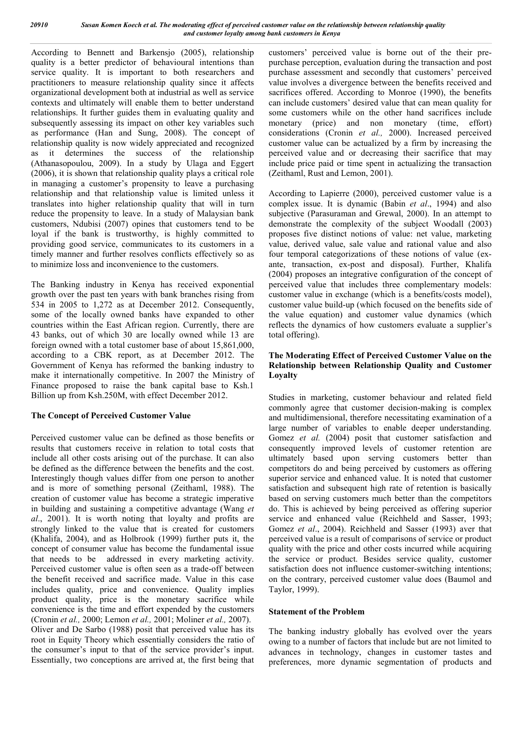According to Bennett and Barkensjo (2005), relationship quality is a better predictor of behavioural intentions than service quality. It is important to both researchers and practitioners to measure relationship quality since it affects organizational development both at industrial as well as service contexts and ultimately will enable them to better understand relationships. It further guides them in evaluating quality and subsequently assessing its impact on other key variables such as performance (Han and Sung, 2008). The concept of relationship quality is now widely appreciated and recognized as it determines the success of the relationship (Athanasopoulou, 2009). In a study by Ulaga and Eggert (2006), it is shown that relationship quality plays a critical role in managing a customer's propensity to leave a purchasing relationship and that relationship value is limited unless it translates into higher relationship quality that will in turn reduce the propensity to leave. In a study of Malaysian bank customers, Ndubisi (2007) opines that customers tend to be loyal if the bank is trustworthy, is highly committed to providing good service, communicates to its customers in a timely manner and further resolves conflicts effectively so as to minimize loss and inconvenience to the customers.

The Banking industry in Kenya has received exponential growth over the past ten years with bank branches rising from 534 in 2005 to 1,272 as at December 2012. Consequently, some of the locally owned banks have expanded to other countries within the East African region. Currently, there are 43 banks, out of which 30 are locally owned while 13 are foreign owned with a total customer base of about 15,861,000, according to a CBK report, as at December 2012. The Government of Kenya has reformed the banking industry to make it internationally competitive. In 2007 the Ministry of Finance proposed to raise the bank capital base to Ksh.1 Billion up from Ksh.250M, with effect December 2012.

#### **The Concept of Perceived Customer Value**

Perceived customer value can be defined as those benefits or results that customers receive in relation to total costs that include all other costs arising out of the purchase. It can also be defined as the difference between the benefits and the cost. Interestingly though values differ from one person to another and is more of something personal (Zeithaml, 1988). The creation of customer value has become a strategic imperative in building and sustaining a competitive advantage (Wang *et al*., 2001). It is worth noting that loyalty and profits are strongly linked to the value that is created for customers (Khalifa, 2004), and as Holbrook (1999) further puts it, the concept of consumer value has become the fundamental issue that needs to be addressed in every marketing activity. Perceived customer value is often seen as a trade-off between the benefit received and sacrifice made. Value in this case includes quality, price and convenience. Quality implies product quality, price is the monetary sacrifice while convenience is the time and effort expended by the customers (Cronin *et al.,* 2000; Lemon *et al.,* 2001; Moliner *et al.,* 2007). Oliver and De Sarbo (1988) posit that perceived value has its root in Equity Theory which essentially considers the ratio of the consumer's input to that of the service provider's input. Essentially, two conceptions are arrived at, the first being that customers' perceived value is borne out of the their prepurchase perception, evaluation during the transaction and post purchase assessment and secondly that customers' perceived value involves a divergence between the benefits received and sacrifices offered. According to Monroe (1990), the benefits can include customers' desired value that can mean quality for some customers while on the other hand sacrifices include monetary (price) and non monetary (time, effort) considerations (Cronin *et al.,* 2000). Increased perceived customer value can be actualized by a firm by increasing the perceived value and or decreasing their sacrifice that may include price paid or time spent in actualizing the transaction (Zeithaml, Rust and Lemon, 2001).

According to Lapierre (2000), perceived customer value is a complex issue. It is dynamic (Babin *et al*., 1994) and also subjective (Parasuraman and Grewal, 2000). In an attempt to demonstrate the complexity of the subject Woodall (2003) proposes five distinct notions of value: net value, marketing value, derived value, sale value and rational value and also four temporal categorizations of these notions of value (exante, transaction, ex-post and disposal). Further, Khalifa (2004) proposes an integrative configuration of the concept of perceived value that includes three complementary models: customer value in exchange (which is a benefits/costs model), customer value build-up (which focused on the benefits side of the value equation) and customer value dynamics (which reflects the dynamics of how customers evaluate a supplier's total offering).

#### **The Moderating Effect of Perceived Customer Value on the Relationship between Relationship Quality and Customer Loyalty**

Studies in marketing, customer behaviour and related field commonly agree that customer decision-making is complex and multidimensional, therefore necessitating examination of a large number of variables to enable deeper understanding. Gomez *et al.* (2004) posit that customer satisfaction and consequently improved levels of customer retention are ultimately based upon serving customers better than competitors do and being perceived by customers as offering superior service and enhanced value. It is noted that customer satisfaction and subsequent high rate of retention is basically based on serving customers much better than the competitors do. This is achieved by being perceived as offering superior service and enhanced value (Reichheld and Sasser, 1993; Gomez *et al*., 2004). Reichheld and Sasser (1993) aver that perceived value is a result of comparisons of service or product quality with the price and other costs incurred while acquiring the service or product. Besides service quality, customer satisfaction does not influence customer-switching intentions; on the contrary, perceived customer value does (Baumol and Taylor, 1999).

#### **Statement of the Problem**

The banking industry globally has evolved over the years owing to a number of factors that include but are not limited to advances in technology, changes in customer tastes and preferences, more dynamic segmentation of products and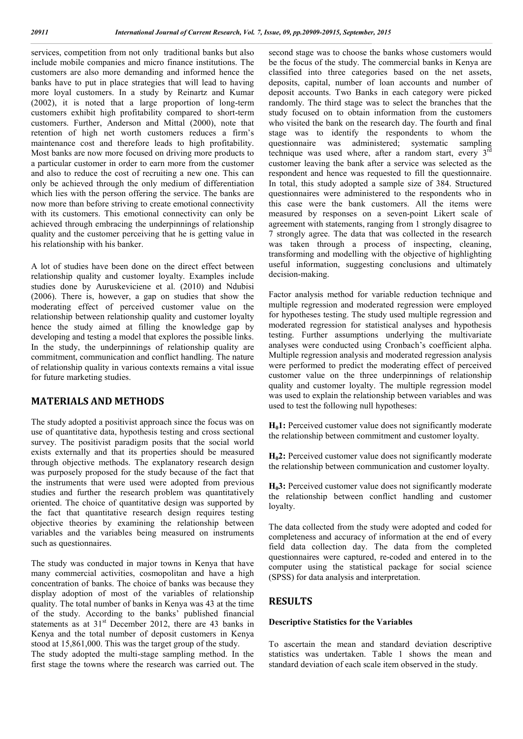services, competition from not only traditional banks but also include mobile companies and micro finance institutions. The customers are also more demanding and informed hence the banks have to put in place strategies that will lead to having more loyal customers. In a study by Reinartz and Kumar (2002), it is noted that a large proportion of long-term customers exhibit high profitability compared to short-term customers. Further, Anderson and Mittal (2000), note that retention of high net worth customers reduces a firm's maintenance cost and therefore leads to high profitability. Most banks are now more focused on driving more products to a particular customer in order to earn more from the customer and also to reduce the cost of recruiting a new one. This can only be achieved through the only medium of differentiation which lies with the person offering the service. The banks are now more than before striving to create emotional connectivity with its customers. This emotional connectivity can only be achieved through embracing the underpinnings of relationship quality and the customer perceiving that he is getting value in his relationship with his banker.

A lot of studies have been done on the direct effect between relationship quality and customer loyalty. Examples include studies done by Auruskeviciene et al. (2010) and Ndubisi (2006). There is, however, a gap on studies that show the moderating effect of perceived customer value on the relationship between relationship quality and customer loyalty hence the study aimed at filling the knowledge gap by developing and testing a model that explores the possible links. In the study, the underpinnings of relationship quality are commitment, communication and conflict handling. The nature of relationship quality in various contexts remains a vital issue for future marketing studies.

## **MATERIALS AND METHODS**

The study adopted a positivist approach since the focus was on use of quantitative data, hypothesis testing and cross sectional survey. The positivist paradigm posits that the social world exists externally and that its properties should be measured through objective methods. The explanatory research design was purposely proposed for the study because of the fact that the instruments that were used were adopted from previous studies and further the research problem was quantitatively oriented. The choice of quantitative design was supported by the fact that quantitative research design requires testing objective theories by examining the relationship between variables and the variables being measured on instruments such as questionnaires.

The study was conducted in major towns in Kenya that have many commercial activities, cosmopolitan and have a high concentration of banks. The choice of banks was because they display adoption of most of the variables of relationship quality. The total number of banks in Kenya was 43 at the time of the study. According to the banks' published financial statements as at  $31<sup>st</sup>$  December 2012, there are 43 banks in Kenya and the total number of deposit customers in Kenya stood at 15,861,000. This was the target group of the study.

The study adopted the multi-stage sampling method. In the first stage the towns where the research was carried out. The

second stage was to choose the banks whose customers would be the focus of the study. The commercial banks in Kenya are classified into three categories based on the net assets, deposits, capital, number of loan accounts and number of deposit accounts. Two Banks in each category were picked randomly. The third stage was to select the branches that the study focused on to obtain information from the customers who visited the bank on the research day. The fourth and final stage was to identify the respondents to whom the questionnaire was administered; systematic sampling technique was used where, after a random start, every 3<sup>rd</sup> customer leaving the bank after a service was selected as the respondent and hence was requested to fill the questionnaire. In total, this study adopted a sample size of 384. Structured questionnaires were administered to the respondents who in this case were the bank customers. All the items were measured by responses on a seven-point Likert scale of agreement with statements, ranging from 1 strongly disagree to 7 strongly agree. The data that was collected in the research was taken through a process of inspecting, cleaning, transforming and modelling with the objective of highlighting useful information, suggesting conclusions and ultimately decision-making.

Factor analysis method for variable reduction technique and multiple regression and moderated regression were employed for hypotheses testing. The study used multiple regression and moderated regression for statistical analyses and hypothesis testing. Further assumptions underlying the multivariate analyses were conducted using Cronbach's coefficient alpha. Multiple regression analysis and moderated regression analysis were performed to predict the moderating effect of perceived customer value on the three underpinnings of relationship quality and customer loyalty. The multiple regression model was used to explain the relationship between variables and was used to test the following null hypotheses:

**H<sub>0</sub>1:** Perceived customer value does not significantly moderate the relationship between commitment and customer loyalty.

**H02:** Perceived customer value does not significantly moderate the relationship between communication and customer loyalty.

**H<sub>0</sub>3:** Perceived customer value does not significantly moderate the relationship between conflict handling and customer loyalty.

The data collected from the study were adopted and coded for completeness and accuracy of information at the end of every field data collection day. The data from the completed questionnaires were captured, re-coded and entered in to the computer using the statistical package for social science (SPSS) for data analysis and interpretation.

## **RESULTS**

#### **Descriptive Statistics for the Variables**

To ascertain the mean and standard deviation descriptive statistics was undertaken. Table 1 shows the mean and standard deviation of each scale item observed in the study.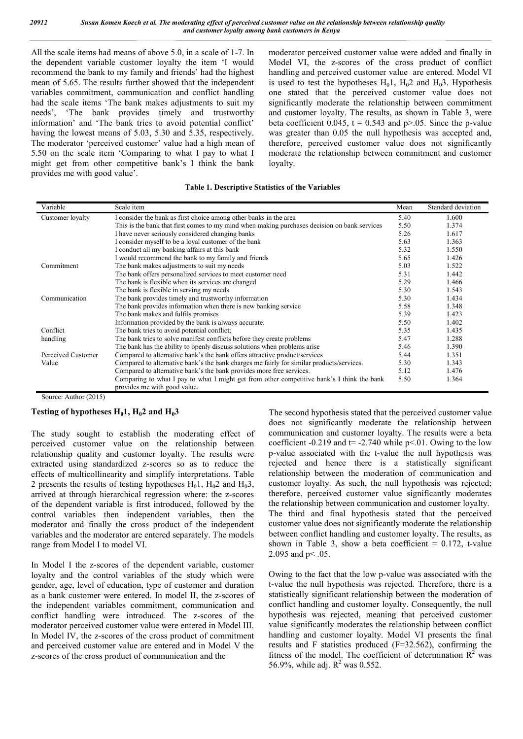All the scale items had means of above 5.0, in a scale of 1-7. In the dependent variable customer loyalty the item 'I would recommend the bank to my family and friends' had the highest mean of 5.65. The results further showed that the independent variables commitment, communication and conflict handling had the scale items 'The bank makes adjustments to suit my needs', 'The bank provides timely and trustworthy information' and 'The bank tries to avoid potential conflict' having the lowest means of 5.03, 5.30 and 5.35, respectively. The moderator 'perceived customer' value had a high mean of 5.50 on the scale item 'Comparing to what I pay to what I might get from other competitive bank's I think the bank provides me with good value'.

moderator perceived customer value were added and finally in Model VI, the z-scores of the cross product of conflict handling and perceived customer value are entered. Model VI is used to test the hypotheses  $H_0$ 1,  $H_0$ 2 and  $H_0$ 3. Hypothesis one stated that the perceived customer value does not significantly moderate the relationship between commitment and customer loyalty. The results, as shown in Table 3, were beta coefficient  $0.045$ ,  $t = 0.543$  and  $p > 0.05$ . Since the p-value was greater than  $0.05$  the null hypothesis was accepted and. therefore, perceived customer value does not significantly moderate the relationship between commitment and customer loyalty.

| Variable           | Scale item                                                                                   | Mean | Standard deviation |
|--------------------|----------------------------------------------------------------------------------------------|------|--------------------|
| Customer loyalty   | I consider the bank as first choice among other banks in the area                            | 5.40 | 1.600              |
|                    | This is the bank that first comes to my mind when making purchases decision on bank services | 5.50 | 1.374              |
|                    | I have never seriously considered changing banks                                             | 5.26 | 1.617              |
|                    | I consider myself to be a loyal customer of the bank                                         | 5.63 | 1.363              |
|                    | I conduct all my banking affairs at this bank                                                | 5.32 | 1.550              |
|                    | I would recommend the bank to my family and friends                                          | 5.65 | 1.426              |
| Commitment         | The bank makes adjustments to suit my needs                                                  | 5.03 | 1.522              |
|                    | The bank offers personalized services to meet customer need                                  | 5.31 | 1.442              |
|                    | The bank is flexible when its services are changed                                           | 5.29 | 1.466              |
|                    | The bank is flexible in serving my needs                                                     | 5.30 | 1.543              |
| Communication      | The bank provides timely and trustworthy information                                         | 5.30 | 1.434              |
|                    | The bank provides information when there is new banking service                              | 5.58 | 1.348              |
|                    | The bank makes and fulfils promises                                                          | 5.39 | 1.423              |
|                    | Information provided by the bank is always accurate.                                         | 5.50 | 1.402              |
| Conflict           | The bank tries to avoid potential conflict;                                                  | 5.35 | 1.435              |
| handling           | The bank tries to solve manifest conflicts before they create problems                       | 5.47 | 1.288              |
|                    | The bank has the ability to openly discuss solutions when problems arise                     | 5.46 | 1.390              |
| Perceived Customer | Compared to alternative bank's the bank offers attractive product/services                   | 5.44 | 1.351              |
| Value              | Compared to alternative bank's the bank charges me fairly for similar products/services.     | 5.30 | 1.343              |
|                    | Compared to alternative bank's the bank provides more free services.                         | 5.12 | 1.476              |
|                    | Comparing to what I pay to what I might get from other competitive bank's I think the bank   | 5.50 | 1.364              |
|                    | provides me with good value.                                                                 |      |                    |

Source: Author (2015)

#### **Testing of hypotheses**  $H_0$ **1,**  $H_0$ **2 and**  $H_0$ **3**

The study sought to establish the moderating effect of perceived customer value on the relationship between relationship quality and customer loyalty. The results were extracted using standardized z-scores so as to reduce the effects of multicollinearity and simplify interpretations. Table 2 presents the results of testing hypotheses  $H_0$ 1,  $H_0$ 2 and  $H_0$ 3, arrived at through hierarchical regression where: the z-scores of the dependent variable is first introduced, followed by the control variables then independent variables, then the moderator and finally the cross product of the independent variables and the moderator are entered separately. The models range from Model I to model VI.

In Model I the z-scores of the dependent variable, customer loyalty and the control variables of the study which were gender, age, level of education, type of customer and duration as a bank customer were entered. In model II, the z-scores of the independent variables commitment, communication and conflict handling were introduced. The z-scores of the moderator perceived customer value were entered in Model III. In Model IV, the z-scores of the cross product of commitment and perceived customer value are entered and in Model V the z-scores of the cross product of communication and the

The second hypothesis stated that the perceived customer value does not significantly moderate the relationship between communication and customer loyalty. The results were a beta coefficient -0.219 and  $t = -2.740$  while  $p < 01$ . Owing to the low p-value associated with the t-value the null hypothesis was rejected and hence there is a statistically significant relationship between the moderation of communication and customer loyalty. As such, the null hypothesis was rejected; therefore, perceived customer value significantly moderates the relationship between communication and customer loyalty. The third and final hypothesis stated that the perceived customer value does not significantly moderate the relationship between conflict handling and customer loyalty. The results, as shown in Table 3, show a beta coefficient =  $0.172$ , t-value 2.095 and p< .05.

Owing to the fact that the low p-value was associated with the t-value the null hypothesis was rejected. Therefore, there is a statistically significant relationship between the moderation of conflict handling and customer loyalty. Consequently, the null hypothesis was rejected, meaning that perceived customer value significantly moderates the relationship between conflict handling and customer loyalty. Model VI presents the final results and F statistics produced (F=32.562), confirming the fitness of the model. The coefficient of determination  $R^2$  was 56.9%, while adj.  $R^2$  was 0.552.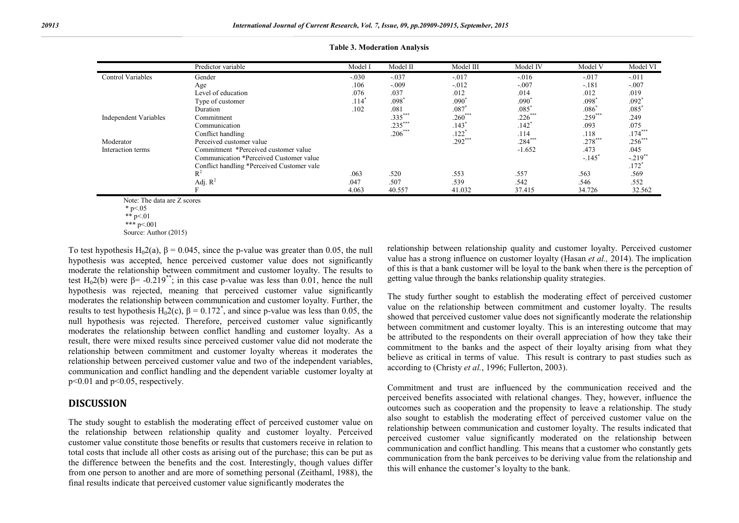|                              | Predictor variable                         | Model I | Model II  | Model III           | Model IV  | Model V   | Model VI            |
|------------------------------|--------------------------------------------|---------|-----------|---------------------|-----------|-----------|---------------------|
| Control Variables            | Gender                                     | $-.030$ | $-.037$   | $-.017$             | $-.016$   | $-.017$   | $-.011$             |
|                              | Age                                        | .106    | $-.009$   | $-.012$             | $-.007$   | $-.181$   | $-.007$             |
|                              | Level of education                         | .076    | .037      | .012                | .014      | .012      | .019                |
|                              | Type of customer                           | $.114*$ | $.098*$   | $.090*$             | $.090*$   | $.098*$   | $.092$ <sup>*</sup> |
|                              | Duration                                   | .102    | .081      | $.087$ <sup>*</sup> | .085      | $.086^*$  | .085                |
| <b>Independent Variables</b> | Commitment                                 |         | $.335***$ | $.260***$           | $.226***$ | $.259***$ | .249                |
|                              | Communication                              |         | $.235***$ | .143                | .142      | .093      | .075                |
|                              | Conflict handling                          |         | $.206***$ | $.122*$             | .114      | .118      | $.174***$           |
| Moderator                    | Perceived customer value                   |         |           | $.292***$           | $.284***$ | $.278***$ | $.256***$           |
| Interaction terms            | Commitment *Perceived customer value       |         |           |                     | $-1.652$  | .473      | .045                |
|                              | Communication *Perceived Customer value    |         |           |                     |           | $-.145$   | $-.219$ **          |
|                              | Conflict handling *Perceived Customer vale |         |           |                     |           |           | $.172$ <sup>*</sup> |
|                              | $R^2$                                      | .063    | .520      | .553                | .557      | .563      | .569                |
|                              | Adj. $R^2$                                 | .047    | .507      | .539                | .542      | .546      | .552                |
|                              |                                            | 4.063   | 40.557    | 41.032              | 37.415    | 34.726    | 32.562              |

Note: The data are Z scores

\*\*\*  $p < 001$ Source: Author (2015)

To test hypothesis H<sub>0</sub>2(a),  $\beta$  = 0.045, since the p-value was greater than 0.05, the null hypothesis was accepted, hence perceived customer value does not significantly moderate the relationship between commitment and customer loyalty. The results to test H<sub>0</sub>2(b) were  $\beta$ = -0.219<sup>\*\*</sup>; in this case p-value was less than 0.01, hence the null hypothesis was rejected, meaning that perceived customer value significantly moderates the relationship between communication and customer loyalty. Further, the results to test hypothesis  $H_0 2(c)$ ,  $\beta = 0.172^*$ , and since p-value was less than 0.05, the null hypothesis was rejected. Therefore, perceived customer value significantly moderates the relationship between conflict handling and customer loyalty. As a result, there were mixed results since perceived customer value did not moderate the relationship between commitment and customer loyalty whereas it moderates the relationship between perceived customer value and two of the independent variables, communication and conflict handling and the dependent variable customer loyalty at p<0.01 and p<0.05, respectively.

### **DISCUSSION**

The study sought to establish the moderating effect of perceived customer value on the relationship between relationship quality and customer loyalty. Perceived customer value constitute those benefits or results that customers receive in relation to total costs that include all other costs as arising out of the purchase; this can be put as the difference between the benefits and the cost. Interestingly, though values differ from one person to another and are more of something personal (Zeithaml, 1988), the final results indicate that perceived customer value significantly moderates the

relationship between relationship quality and customer loyalty. Perceived customer value has a strong influence on customer loyalty (Hasan *et al.,* 2014). The implication of this is that a bank customer will be loyal to the bank when there is the perception of getting value through the banks relationship quality strategies.

The study further sought to establish the moderating effect of perceived customer value on the relationship between commitment and customer loyalty. The results showed that perceived customer value does not significantly moderate the relationship between commitment and customer loyalty. This is an interesting outcome that may be attributed to the respondents on their overall appreciation of how they take their commitment to the banks and the aspect of their loyalty arising from what they believe as critical in terms of value. This result is contrary to past studies such as according to (Christy *et al.*, 1996; Fullerton, 2003).

Commitment and trust are influenced by the communication received and the perceived benefits associated with relational changes. They, however, influence the outcomes such as cooperation and the propensity to leave a relationship. The study also sought to establish the moderating effect of perceived customer value on the relationship between communication and customer loyalty. The results indicated that perceived customer value significantly moderated on the relationship between communication and conflict handling. This means that a customer who constantly gets communication from the bank perceives to be deriving value from the relationship and this will enhance the customer's loyalty to the bank.

 $*$  p<.05

<sup>\*\*</sup> p< 01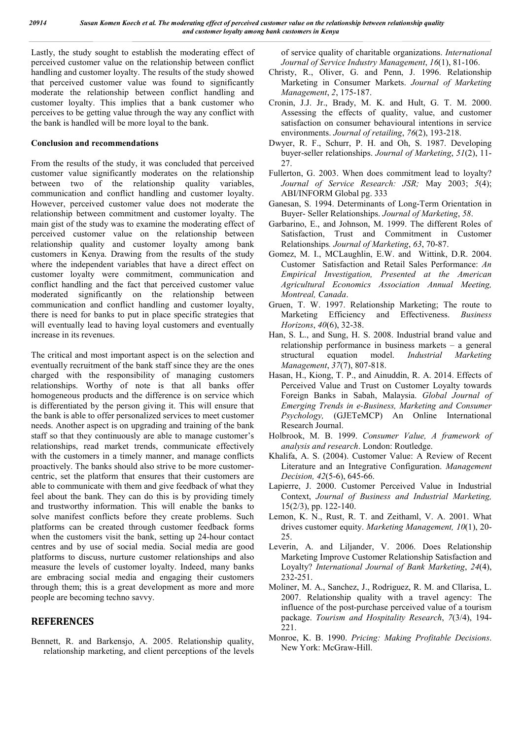Lastly, the study sought to establish the moderating effect of perceived customer value on the relationship between conflict handling and customer loyalty. The results of the study showed that perceived customer value was found to significantly moderate the relationship between conflict handling and customer loyalty. This implies that a bank customer who perceives to be getting value through the way any conflict with the bank is handled will be more loyal to the bank.

#### **Conclusion and recommendations**

From the results of the study, it was concluded that perceived customer value significantly moderates on the relationship between two of the relationship quality variables, communication and conflict handling and customer loyalty. However, perceived customer value does not moderate the relationship between commitment and customer loyalty. The main gist of the study was to examine the moderating effect of perceived customer value on the relationship between relationship quality and customer loyalty among bank customers in Kenya. Drawing from the results of the study where the independent variables that have a direct effect on customer loyalty were commitment, communication and conflict handling and the fact that perceived customer value moderated significantly on the relationship between communication and conflict handling and customer loyalty, there is need for banks to put in place specific strategies that will eventually lead to having loyal customers and eventually increase in its revenues.

The critical and most important aspect is on the selection and eventually recruitment of the bank staff since they are the ones charged with the responsibility of managing customers relationships. Worthy of note is that all banks offer homogeneous products and the difference is on service which is differentiated by the person giving it. This will ensure that the bank is able to offer personalized services to meet customer needs. Another aspect is on upgrading and training of the bank staff so that they continuously are able to manage customer's relationships, read market trends, communicate effectively with the customers in a timely manner, and manage conflicts proactively. The banks should also strive to be more customercentric, set the platform that ensures that their customers are able to communicate with them and give feedback of what they feel about the bank. They can do this is by providing timely and trustworthy information. This will enable the banks to solve manifest conflicts before they create problems. Such platforms can be created through customer feedback forms when the customers visit the bank, setting up 24-hour contact centres and by use of social media. Social media are good platforms to discuss, nurture customer relationships and also measure the levels of customer loyalty. Indeed, many banks are embracing social media and engaging their customers through them; this is a great development as more and more people are becoming techno savvy.

## **REFERENCES**

Bennett, R. and Barkensjo, A. 2005. Relationship quality, relationship marketing, and client perceptions of the levels of service quality of charitable organizations. *International Journal of Service Industry Management*, *16*(1), 81-106.

- Christy, R., Oliver, G. and Penn, J. 1996. Relationship Marketing in Consumer Markets. *Journal of Marketing Management*, *2*, 175-187.
- Cronin, J.J. Jr., Brady, M. K. and Hult, G. T. M. 2000. Assessing the effects of quality, value, and customer satisfaction on consumer behavioural intentions in service environments. *Journal of retailing*, *76*(2), 193-218.
- Dwyer, R. F., Schurr, P. H. and Oh, S. 1987. Developing buyer-seller relationships. *Journal of Marketing*, *51*(2), 11- 27.
- Fullerton, G. 2003. When does commitment lead to loyalty? *Journal of Service Research: JSR;* May 2003; *5*(4); ABI/INFORM Global pg. 333
- Ganesan, S. 1994. Determinants of Long-Term Orientation in Buyer- Seller Relationships. *Journal of Marketing*, *58*.
- Garbarino, E., and Johnson, M. 1999. The different Roles of Satisfaction, Trust and Commitment in Customer Relationships*. Journal of Marketing*, *63*, 70-87.
- Gomez, M. I., MCLaughlin, E.W. and Wittink, D.R. 2004. Customer Satisfaction and Retail Sales Performance: *An Empirical Investigation, Presented at the American Agricultural Economics Association Annual Meeting, Montreal, Canada*.
- Gruen, T. W. 1997. Relationship Marketing; The route to Marketing Efficiency and Effectiveness. *Business Horizons*, *40*(6), 32-38.
- Han, S. L., and Sung, H. S. 2008. Industrial brand value and relationship performance in business markets – a general structural equation model. *Industrial Marketing Management*, *37*(7), 807-818.
- Hasan, H., Kiong, T. P., and Ainuddin, R. A. 2014. Effects of Perceived Value and Trust on Customer Loyalty towards Foreign Banks in Sabah, Malaysia. *Global Journal of Emerging Trends in e-Business, Marketing and Consumer Psychology,* (GJETeMCP) An Online International Research Journal.
- Holbrook, M. B. 1999. *Consumer Value, A framework of analysis and research*. London: Routledge.
- Khalifa, A. S. (2004). Customer Value: A Review of Recent Literature and an Integrative Configuration. *Management Decision, 42*(5-6), 645-66.
- Lapierre, J. 2000. Customer Perceived Value in Industrial Context, *Journal of Business and Industrial Marketing,* 15(2/3), pp. 122-140.
- Lemon, K. N., Rust, R. T. and Zeithaml, V. A. 2001. What drives customer equity. *Marketing Management, 10*(1), 20- 25.
- Leverin, A. and Liljander, V. 2006. Does Relationship Marketing Improve Customer Relationship Satisfaction and Loyalty? *International Journal of Bank Marketing*, *24*(4), 232-251.
- Moliner, M. A., Sanchez, J., Rodriguez, R. M. and Cllarisa, L. 2007. Relationship quality with a travel agency: The influence of the post-purchase perceived value of a tourism package. *Tourism and Hospitality Research*, *7*(3/4), 194- 221.
- Monroe, K. B. 1990. *Pricing: Making Profitable Decisions*. New York: McGraw-Hill.